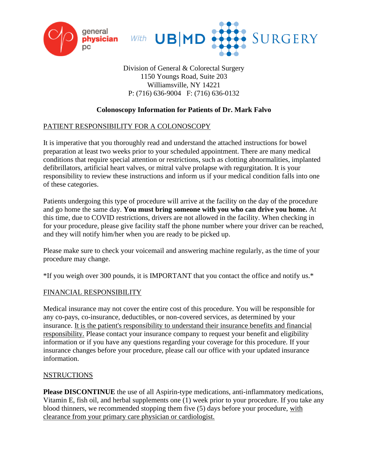



Division of General & Colorectal Surgery 1150 Youngs Road, Suite 203 Williamsville, NY 14221 P: (716) 636-9004 F: (716) 636-0132

# **Colonoscopy Information for Patients of Dr. Mark Falvo**

## PATIENT RESPONSIBILITY FOR A COLONOSCOPY

It is imperative that you thoroughly read and understand the attached instructions for bowel preparation at least two weeks prior to your scheduled appointment. There are many medical conditions that require special attention or restrictions, such as clotting abnormalities, implanted defibrillators, artificial heart valves, or mitral valve prolapse with regurgitation. It is your responsibility to review these instructions and inform us if your medical condition falls into one of these categories.

Patients undergoing this type of procedure will arrive at the facility on the day of the procedure and go home the same day. **You must bring someone with you who can drive you home.** At this time, due to COVID restrictions, drivers are not allowed in the facility. When checking in for your procedure, please give facility staff the phone number where your driver can be reached, and they will notify him/her when you are ready to be picked up.

Please make sure to check your voicemail and answering machine regularly, as the time of your procedure may change.

\*If you weigh over 300 pounds, it is IMPORTANT that you contact the office and notify us.\*

## FINANCIAL RESPONSIBILITY

Medical insurance may not cover the entire cost of this procedure. You will be responsible for any co-pays, co-insurance, deductibles, or non-covered services, as determined by your insurance. It is the patient's responsibility to understand their insurance benefits and financial responsibility. Please contact your insurance company to request your benefit and eligibility information or if you have any questions regarding your coverage for this procedure. If your insurance changes before your procedure, please call our office with your updated insurance information.

## NSTRUCTIONS

**Please DISCONTINUE** the use of all Aspirin-type medications, anti-inflammatory medications, Vitamin E, fish oil, and herbal supplements one (1) week prior to your procedure. If you take any blood thinners, we recommended stopping them five (5) days before your procedure, with clearance from your primary care physician or cardiologist.